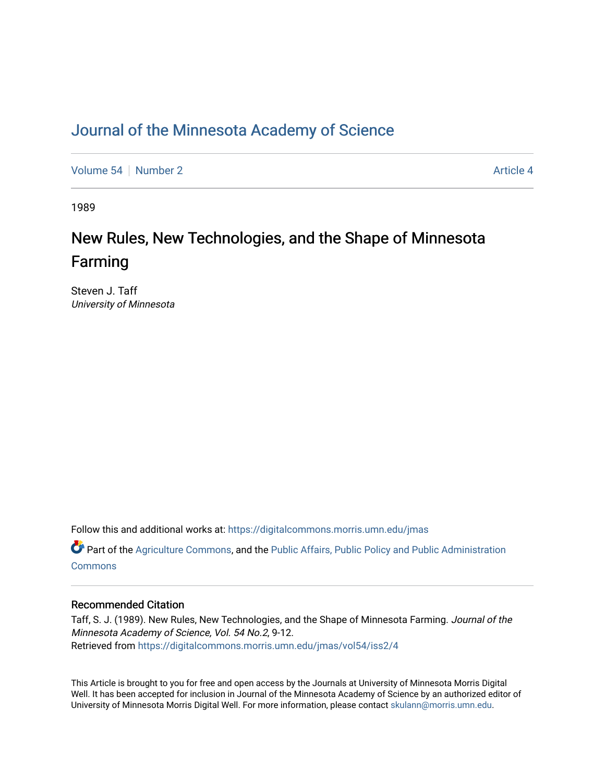# [Journal of the Minnesota Academy of Science](https://digitalcommons.morris.umn.edu/jmas)

[Volume 54](https://digitalcommons.morris.umn.edu/jmas/vol54) [Number 2](https://digitalcommons.morris.umn.edu/jmas/vol54/iss2) Article 4

1989

# New Rules, New Technologies, and the Shape of Minnesota Farming

Steven J. Taff University of Minnesota

Follow this and additional works at: [https://digitalcommons.morris.umn.edu/jmas](https://digitalcommons.morris.umn.edu/jmas?utm_source=digitalcommons.morris.umn.edu%2Fjmas%2Fvol54%2Fiss2%2F4&utm_medium=PDF&utm_campaign=PDFCoverPages) 

Part of the [Agriculture Commons](https://network.bepress.com/hgg/discipline/1076?utm_source=digitalcommons.morris.umn.edu%2Fjmas%2Fvol54%2Fiss2%2F4&utm_medium=PDF&utm_campaign=PDFCoverPages), and the [Public Affairs, Public Policy and Public Administration](https://network.bepress.com/hgg/discipline/393?utm_source=digitalcommons.morris.umn.edu%2Fjmas%2Fvol54%2Fiss2%2F4&utm_medium=PDF&utm_campaign=PDFCoverPages) **[Commons](https://network.bepress.com/hgg/discipline/393?utm_source=digitalcommons.morris.umn.edu%2Fjmas%2Fvol54%2Fiss2%2F4&utm_medium=PDF&utm_campaign=PDFCoverPages)** 

# Recommended Citation

Taff, S. J. (1989). New Rules, New Technologies, and the Shape of Minnesota Farming. Journal of the Minnesota Academy of Science, Vol. 54 No.2, 9-12. Retrieved from [https://digitalcommons.morris.umn.edu/jmas/vol54/iss2/4](https://digitalcommons.morris.umn.edu/jmas/vol54/iss2/4?utm_source=digitalcommons.morris.umn.edu%2Fjmas%2Fvol54%2Fiss2%2F4&utm_medium=PDF&utm_campaign=PDFCoverPages)

This Article is brought to you for free and open access by the Journals at University of Minnesota Morris Digital Well. It has been accepted for inclusion in Journal of the Minnesota Academy of Science by an authorized editor of University of Minnesota Morris Digital Well. For more information, please contact [skulann@morris.umn.edu](mailto:skulann@morris.umn.edu).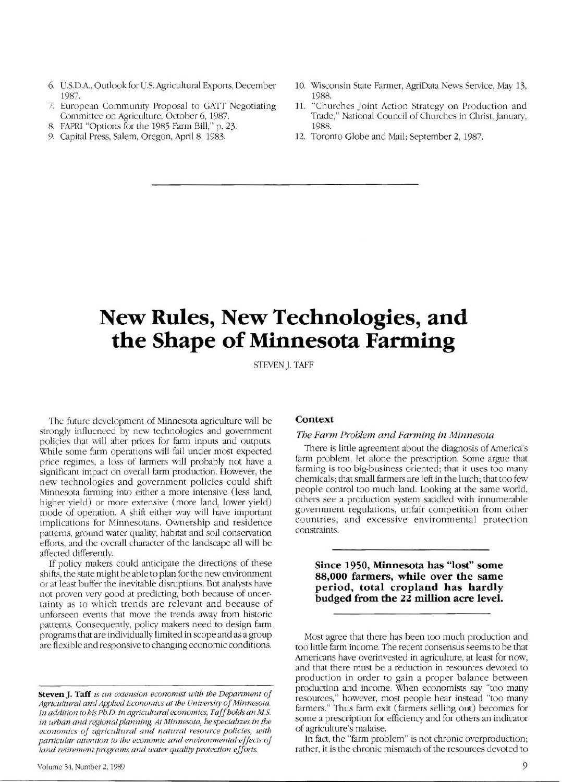- 6. U.S.D.A. , Outlook for U.S. Agricultural Exports, December 1987.
- 7. European Community Proposal to GATI Negotiating Committee on Agriculture, October 6, 1987.
- 8. FAPRI "Options for the 1985 Farm Bill," p. 23.
- 9. Capital Press, Salem, Oregon, April 8, 1983.
- 10. Wisconsin State Farmer, AgriData News Setvice, May 13, 1988.
- 11. "Churches Joint Action Strategy on Production and Trade," National Council of Churches in Christ, January, 1988.
- 12. Toronto Globe and Mail; September 2, 1987.

# **New Rules, New Technologies, and the Shape of Minnesota Farming**

STEVEN J. TAFF

The future development of Minnesota agriculture will be strongly influenced by new technologies and government policies that will alter prices for farm inputs and outputs. While some farm operations will fail under most expected price regimes, a loss of farmers will probably not have a significant impact on overall farm production. However, the new technologies and government policies could shift Minnesota farming into either a more intensive (less land, higher yield) or more extensive (more land, lower yield) mode of operation. A shift either way will have important implications for Minnesotans. Ownership and residence patterns, ground water quality, habitat and soil conservation effons, and the overall character of the landscape all will be affected differently.

If policy makers could anticipate the directions of these shifts, the state might be able to plan for the new environment or at least buffer the inevitable disruptions. But analysts have not proven very good at predicting, both because of uncertainty as to which trends are relevant and because of unforseen events that move the trends away from historic patterns. Consequently, policy makers need to design farm programs that are individually limited in scope and as a group are flexible and responsive to changing economic conditions.

#### **Context**

#### The Farm Problem and Farming in Minnesota

There is little agreement about the diagnosis of America's farm problem, let alone the prescription. Some argue that farming is too big-business oriented; that it uses too many chemicals; that small farmers are left in the lurch; that too few people control too much land. Looking at the same world, others see a production system saddled with innumerable government regulations, unfair competition from other countries, and excessive environmental protection constraints.

**Since 1950, Minnesota has "lost" some 88,000 farmers, while over the same period, total cropland has hardly budged from the 22 million acre level.** 

Most agree that there has been too much production and too little farm income. The recent consensus seems to be that Americans have overinvested in agriculture, at least for now, and that there must be a reduction in resources devoted to production in order to gain a proper balance between production and income. When economists say "too many resources," however, most people hear instead "too many farmers. " Thus farm exit (farmers selling out) becomes for some a prescription for efficiency and for others an indicator of agriculture's malaise.

In fact, the "farm problem" is not chronic overproduction; rather, it is the chronic mismatch of the resources devoted to

Steven **J.** Taff *is an extension economist with the Department of Agricultural and Applied Economics at the University of Minnesota. In addition to his Ph.D. in agricultural economics, Taff holds an M.S. in urban and regional planning At Minnesota, he specializes in the economics of agricultural and natural resource policies, with particular attention to the economic and environmental effects of land retirement programs and water quality protection efforts.*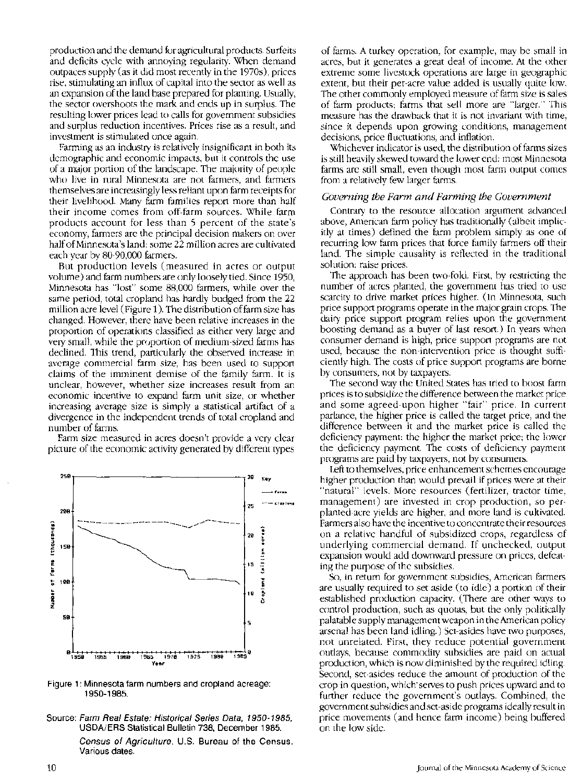production and the demand for agricultural products. Surfeits and deficits cycle with annoying regularity. When demand outpaces supply (as it did most recently in the 1970s), prices rise, stimulating an influx of capital into the sector as well as an expansion of the land base prepared for planting. Usually, the sector overshoots the mark and ends up in surplus. The resulting lower prices lead to calls for government subsidies and surplus reduction incentives. Prices rise as a result, and investment is stimulated once again.

Farming as an industry is relatively insignificant in both its demographic and economic impacts, but it controls the use of a major portion of the landscape. The majority of people who live in rural Minnesota are not farmers, and farmers themselves are increasingly less reliant upon farm receipts for their livelihood. Many farm families report more than half their income comes from off-farm sources. While farm products account for less than 5 percent of the state's economy, farmers are the principal decision makers on over half of Minnesota's land: some 22 million acres are cultivated each year by 80-90,000 farmers.

But production levels (measured in acres or output volume) and farm numbers are only loosely tied. Since 1950, Minnesota has "lost" some 88,000 farmers, while over the same period, total cropland has hardly budged from the 22 million acre level (Figure 1). The distribution of farm size has changed. However, there have been relative increases in the proportion of operations classified as either very large and very small, while the proportion of medium-sized furms has declined. This trend, particularly the observed increase in average commercial farm size, has been used to support claims of the imminent demise of the family farm. It is unclear, however, whether size increases result from an economic incentive to expand farm unit size, or whether increasing average size is simply a statistical artifact of a divergence in the independent trends of total cropland and number of farms.

Farm size measured in acres doesn't provide a very clear picture of the economic activity generated by different types



Figure 1: Minnesota farm numbers and cropland acreage: 1950-1985.

Source: Farm Real Estate: Historical Series Data, 1950-1985. USDA/ERS Statistical Bulletin 738, December 1985.

> Census of Agriculture. U.S. Bureau of the Census. Various dates.

of farms. A turkey operation, for example, may be small in acres, but it generates a great deal of income. At the other extreme some livestock operations are large in geographic extent, but their per-acre value added is usually quite low. The other commonly employed measure of farm size is sales of farm products; farms that sell more are "larger." This measure has the drawback that it is not invariant with time, since it depends upon growing conditions, management decisions, price fluctuations, and inflation.

Whichever indicator is used, the distribution of farms sizes is still heavily skewed toward the lower end: most Minnesota farms are still small, even though most farm output comes from a relatively few larger farms.

#### *Governing the Farm and Farming the Government*

Contrary to the resource allocation argument advanced above, American farm policy has traditionally (albeit implicitly at times) defined the farm problem simply as one of recurring low farm prices that force family farmers off their land. The simple causality is reflected in the traditional solution: raise prices.

The approach has been two-fold. First, by restricting the number of acres planted, the government has tried to use scarcity to drive market prices higher. (In Minnesota, such price support programs operate in the major grain crops. The dairy price support program relies upon the government boosting demand as a buyer of last resort.) In years when consumer demand is high, price support programs are not used, because the non-intervention price is thought sufficiently high. The costs of price support programs are borne by consumers, not by taxpayers.

The second way the United States has tried to boost farm prices is to subsidize the difference between the market price and some agreed-upon higher "fair" price. In current parlance, the higher price is called the target price, and the difference between it and the market price is called the deficiency payment: the higher the market price; the lower the deficiency payment. The costs of deficiency payment programs are paid by taxpayers, not by consumers.

Left to themselves, price enhancement schemes encourage higher production than would prevail if prices were at their "natural" levels. More resources (fertilizer, tractor time, management) are invested in crop production, so perplanted-acre yields are higher, and more land is cultivated. Farmers also have the incentive to concentrate their resources on a relative handful of subsidized crops, regardless of underlying commercial demand. If unchecked, output expansion would add downward pressure on prices, defeating the purpose of the subsidies.

So, in return for government subsidies, American farmers are usually required to set aside (to idle) a portion of their established production capacity. (There are other ways to control production, such as quotas, but the only politically palatable supply management weapon in the American policy arsenal has been land idling.) Set-asides have two purposes, not unrelated. First, they reduce potential government outlays, because commodity subsidies are paid on actual production, which is now diminished by the required idling. Second, set-asides reduce the amount of production of the crop in question, which· serves to push prices upward and to further reduce the government's outlays. Combined, the government subsidies and set-aside programs ideally result in price movements (and hence farm income) being buffered on the low side.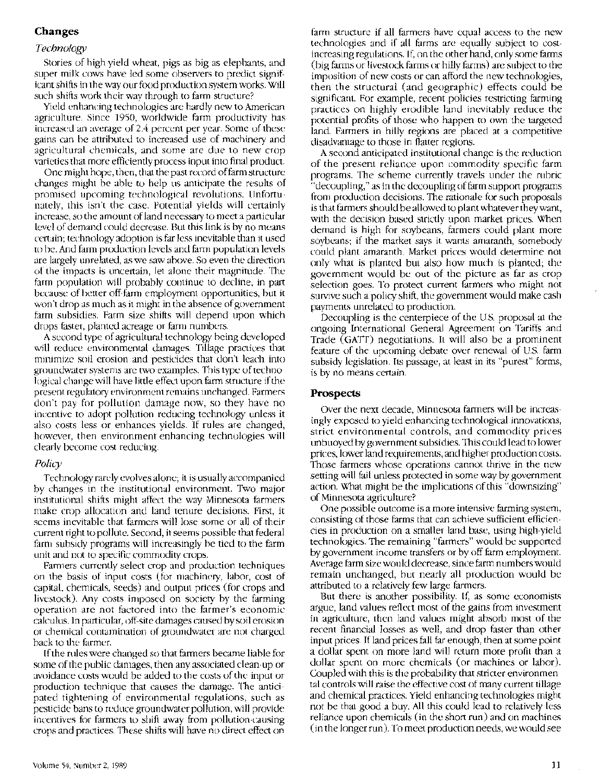# **Changes**

## *Technology*

Stories of high-yield wheat, pigs as big as elephants, and super milk cows have led some observers to predict significant shifts in the way our food production system works. Will such shifts work their way through to farm structure?

Yield enhancing technologies are hardly new to American agriculture. Since 1950, worldwide farm productivity has increased an average of 2.4 percent per year. Some of these gains can be attributed to increased use of machinery and agricultural chemicals, and some are due to new crop varieties that more efficiently process input into final product.

One might hope, then, that the past record of farm structure changes might be able to help us anticipate the results of promised upcoming technological revolutions. Unfortunately, this isn't the case. Potential yields will certainly increase, so the amount of land necessary to meet a particular level of demand could decrease. But this link is by no means certain; technology adoption is far less inevitable than it used to be. And farm production levels and farm population levels are largely unrelated, as we saw above. So even the direction of the impacts is uncertain, let alone their magnitude. The farm population will probably continue to decline, in part because of better off-farm employment opportunities, but it won't drop as much as it might in the absence of government farm subsidies. Farm size shifts will depend upon which drops faster, planted acreage or farm numbers.

A second type of agricultural technology being developed will reduce environmental damages. Tillage practices that minimize soil erosion and pesticides that don't leach into groundwater systems are two examples. This type of technological change will have little effect upon farm structure if the present regulatory environment remains unchanged. Farmers don't pay for pollution damage now, so they have no incentive to adopt pollution reducing technology unless it also costs less or enhances yields. If rules are changed, however, then environment-enhancing technologies will clearly become cost reducing.

## *Policy*

Technology rarely evolves alone; it is usually accompanied by changes in the institutional environment. Two major institutional shifts might affect the way Minnesota farmers make crop allocation and land tenure decisions. First, it seems inevitable that farmers will lose some or all of their current right to pollute. Second, it seems possible that federal farm subsidy programs will increasingly be tied to the farm unit and not to specific commodity crops.

Farmers currently select crop and production techniques on the basis of input costs (for machinery, labor, cost of capital, chemicals, seeds) and output prices (for crops and livestock). Any costs imposed on society by the farming operation are not factored into the farmer's economic calculus. In particular, off-site damages caused by soil erosion or chemical contamination of groundwater are not charged back to the farmer.

If the rules were changed so that farmers became liable for some of the public damages, then any associated clean-up or avoidance costs would be added to the costs of the input or production technique that causes the damage. The anticipated tightening of environmental regulations, such as pesticide bans to reduce groundwater pollution, will provide incentives for farmers to shift away from pollution-causing crops and practices. These shifts will have no direct effect on

farm structure if all farmers have equal access to the new technologies and if all farms are equally subject to costincreasing regulations. If, on the other hand, only some farms (big farms or livestock farms or hilly farms) are subject to the imposition of new costs or can afford the new technologies, then the structural (and geographic) effects could be significant. For example, recent policies restricting farming practices on highly erodible land inevitably reduce the potential profits of those who happen to own the targeted land. Farmers in hilly regions are placed at a competitive disadvantage to those in flatter regions.

A second anticipated institutional change is the reduction of the present reliance upon commodity specific farm programs. The scheme currently travels under the rubric "decoupling," as in the decoupling of farm support programs from production decisions. The rationale for such proposals is that farmers should be allowed to plant whatever they want, with the decision based strictly upon market prices. When demand is high for soybeans, farmers could plant more soybeans; if the market says it wants amaranth, somebody could plant amaranth. Market prices would determine not only what is planted but also how much is planted; the government would be out of the picture as far as crop selection goes. To protect current farmers who might not survive such a policy shift, the government would make cash payments unrelated to production.

Decoupling is the centerpiece of the U.S. proposal at the ongoing International General Agreement on Tariffs and Trade (GATT) negotiations. It will also be a prominent feature of the upcoming debate over renewal of U.S. farm subsidy legislation. Its passage, at least in its "purest" forms, is by no means certain.

### **Prospects**

Over the next decade, Minnesota farmers will be increasingly exposed to yield enhancing technological innovations, strict environmental controls, and commodity prices unbuoyed by government subsidies. This could lead to lower prices, lower land requirements, and higher production costs. Those farmers whose operations cannot thrive in the new setting will fail unless protected in some way by government action. What might be the implications of this "downsizing" of Minnesota agriculture?

One possible outcome is a more intensive farming system, consisting of those farms that can achieve sufficient efficiencies in production on a smaller land base, using high-yield technologies. The remaining "farmers" would be supported by government income transfers or by off-farm employment. Average farm size would decrease, since farm numbers would remain unchanged, but nearly all production would be attributed to a relatively few large farmers.

But there is another possibility. If, as some economists argue, land values reflect most of the gains from investment in agriculture, then land values might absorb most of the recent financial losses as well, and drop faster than other input prices. If land prices fall far enough, then at some point a dollar spent on more land will return more profit than a dollar spent on more chemicals (or machines or labor). Coupled with this is the probability that stricter environmental controls will raise the effective cost of many current tillage and chemical practices. Yield enhancing technologies might not be that good a buy. All this could lead to relatively less reliance upon chemicals (in the short run) and on machines (in the longer run). To meet production needs, we would see